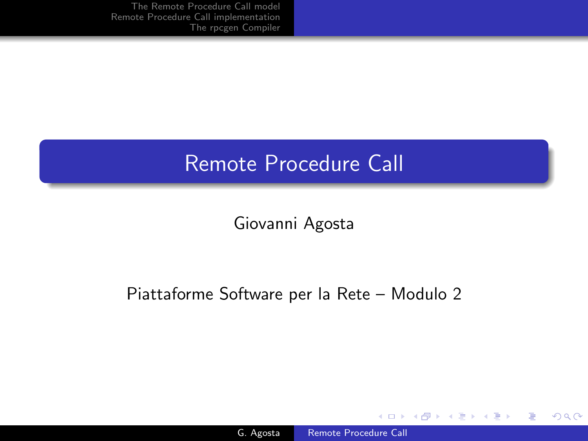# Remote Procedure Call

Giovanni Agosta

### Piattaforme Software per la Rete – Modulo 2

4 0 8

 $\leftarrow$ **State**   $299$ 

<span id="page-0-0"></span>∍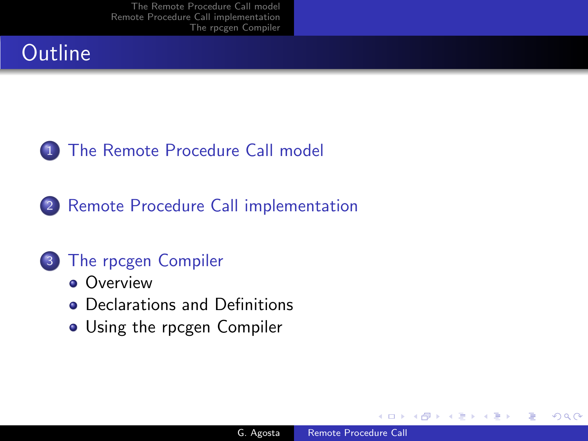# **Outline**

## **1** [The Remote Procedure Call model](#page-2-0)

2 [Remote Procedure Call implementation](#page-6-0)

## 3 [The rpcgen Compiler](#page-13-0)

- **[Overview](#page-13-0)**
- [Declarations and Definitions](#page-14-0)
- [Using the rpcgen Compiler](#page-19-0)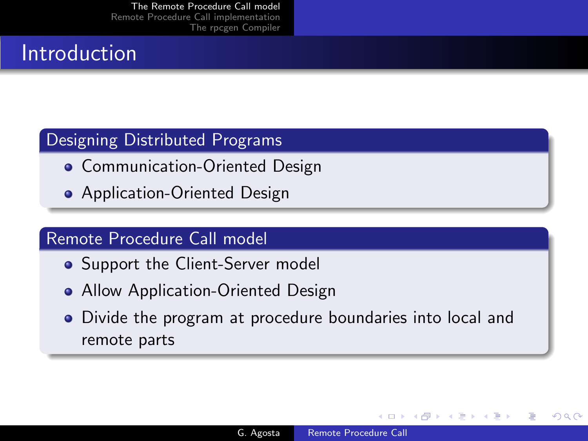## Introduction

### Designing Distributed Programs

- **Communication-Oriented Design**
- **•** Application-Oriented Design

### Remote Procedure Call model

- Support the Client-Server model
- Allow Application-Oriented Design
- <span id="page-2-0"></span>Divide the program at procedure boundaries into local and remote parts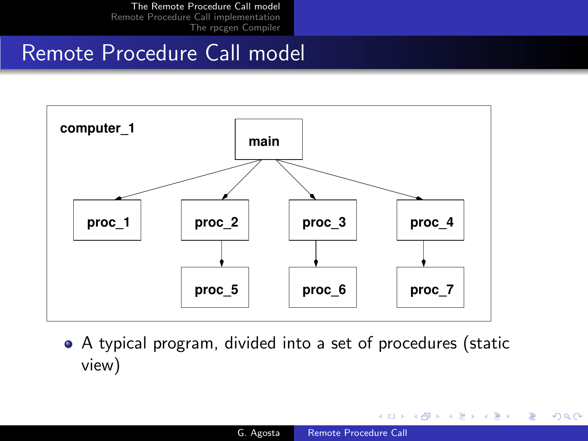## Remote Procedure Call model



A typical program, divided into a set of procedures (static view)

4 0 8

∢何 ▶ ∢ ヨ ▶ ∢ ヨ ▶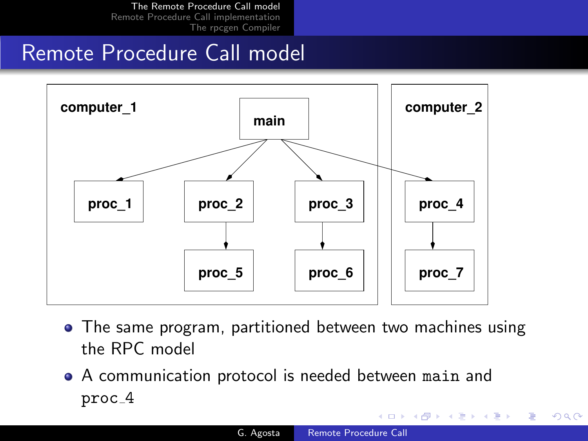## Remote Procedure Call model



- The same program, partitioned between two machines using the RPC model
- A communication protocol is needed between main and proc 4

a miller

- ④ 骨 ≯ ④ 手 ≯ ④ 手 ≯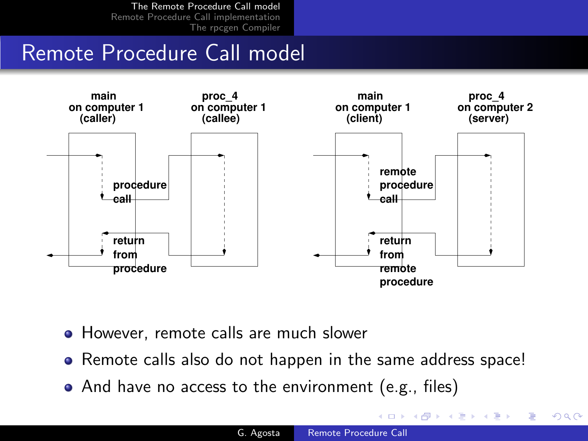## Remote Procedure Call model



- **However, remote calls are much slower**
- Remote calls also do not happen in the same address space!
- And have no access to the environment (e.g., files)

つくへ

メロメ メ母メ メミメ メミメ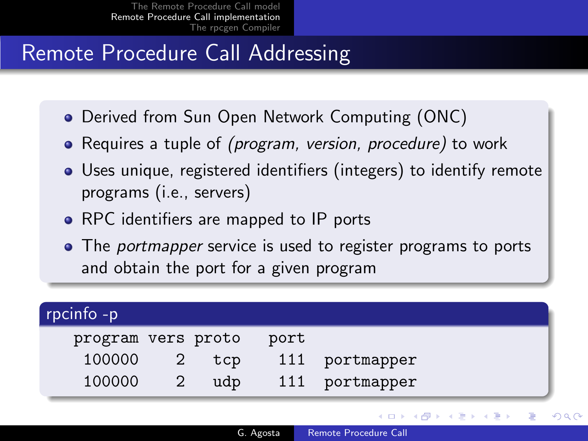# Remote Procedure Call Addressing

- Derived from Sun Open Network Computing (ONC)
- Requires a tuple of *(program, version, procedure)* to work
- Uses unique, registered identifiers (integers) to identify remote programs (i.e., servers)
- RPC identifiers are mapped to IP ports
- <span id="page-6-0"></span>• The *portmapper* service is used to register programs to ports and obtain the port for a given program

| rpcinfo -p         |     |      |            |
|--------------------|-----|------|------------|
| program vers proto |     | port |            |
| 100000             | tcp | 111  | portmapper |
| 100000             | udp | 111  | portmapper |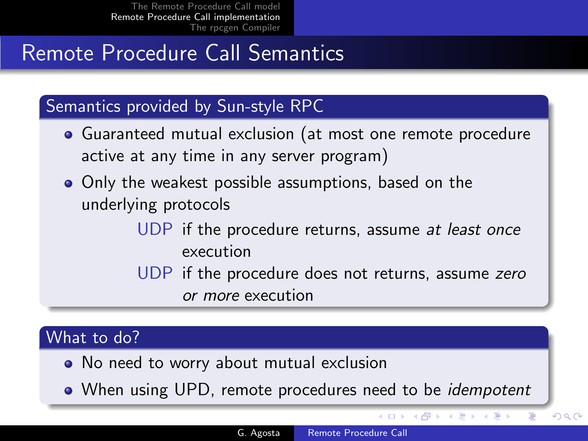# Remote Procedure Call Semantics

### Semantics provided by Sun-style RPC

- Guaranteed mutual exclusion (at most one remote procedure active at any time in any server program)
- Only the weakest possible assumptions, based on the underlying protocols
	- UDP if the procedure returns, assume at least once execution
	- UDP if the procedure does not returns, assume zero or more execution

#### What to do?

- No need to worry about mutual exclusion
- When using UPD, remote procedures need to be *idempotent*

4 0 8

- ∢ 何 ▶ -∢ ヨ ▶ -∢ ヨ

 $QQ$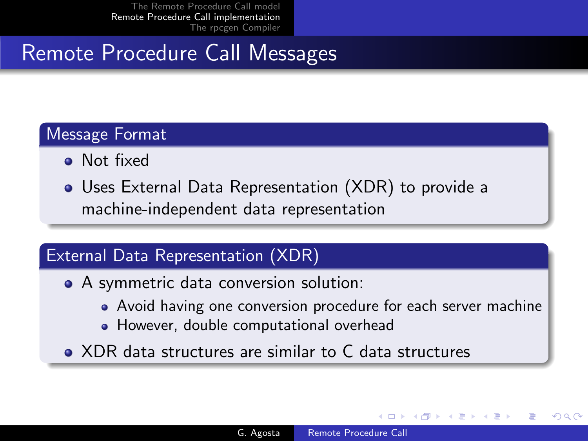# Remote Procedure Call Messages

### Message Format

- Not fixed
- Uses External Data Representation (XDR) to provide a machine-independent data representation

## External Data Representation (XDR)

- A symmetric data conversion solution:
	- Avoid having one conversion procedure for each server machine
	- However, double computational overhead
- XDR data structures are similar to C data structures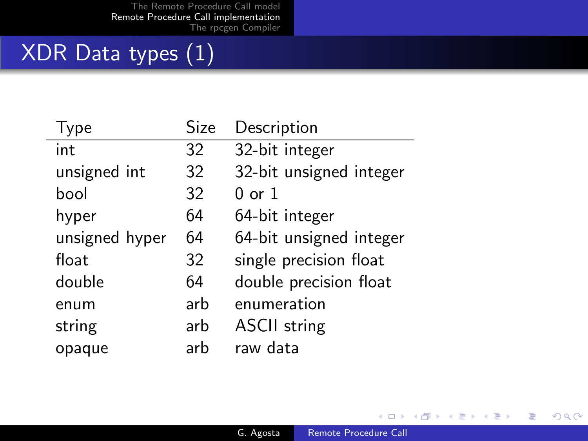# XDR Data types (1)

| Type           | Size | Description             |
|----------------|------|-------------------------|
| int            | 32   | 32-bit integer          |
| unsigned int   | 32   | 32-bit unsigned integer |
| hool           | 32   | $0 \text{ or } 1$       |
| hyper          | 64   | 64-bit integer          |
| unsigned hyper | 64   | 64-bit unsigned integer |
| float          | 32   | single precision float  |
| double         | 64   | double precision float  |
| enum           | arb  | enumeration             |
| string         | arb  | <b>ASCII</b> string     |
| opaque         | arh  | raw data                |

イロト イ部 ト イ君 ト イ君 ト

目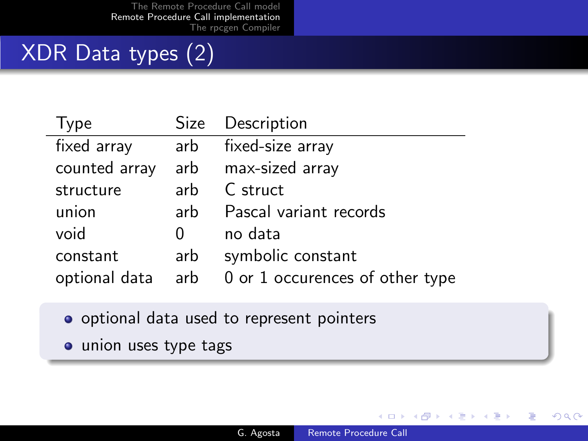# XDR Data types (2)

J.

| Type              |        | Size Description                |
|-------------------|--------|---------------------------------|
| fixed array       | arb    | fixed-size array                |
| counted array     |        | arb max-sized array             |
| structure         | arb    | C struct                        |
| union             | arb    | Pascal variant records          |
| void              | $\cup$ | no data                         |
| constant          | arb    | symbolic constant               |
| optional data arb |        | 0 or 1 occurences of other type |

- o optional data used to represent pointers
- union uses type tags

4日 8 4 伊  $\rightarrow$   $\rightarrow$   $\equiv$   $299$ 

∍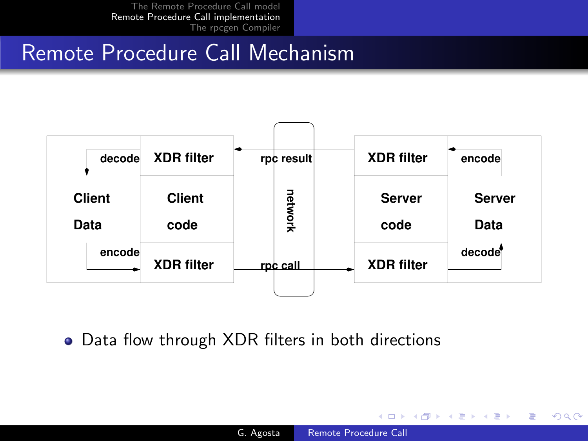## Remote Procedure Call Mechanism



• Data flow through XDR filters in both directions

メロメ メ母メ メミメ メミメ

э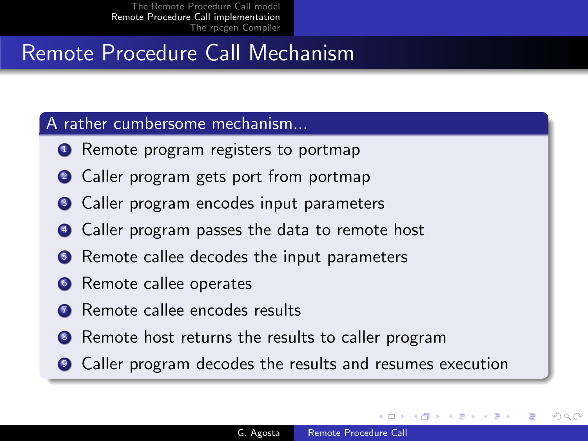# Remote Procedure Call Mechanism

#### A rather cumbersome mechanism...

- **1** Remote program registers to portmap
- 2 Caller program gets port from portmap
- <sup>3</sup> Caller program encodes input parameters
- <sup>4</sup> Caller program passes the data to remote host
- **•** Remote callee decodes the input parameters
- **<sup>6</sup>** Remote callee operates
- **2** Remote callee encodes results
- <sup>8</sup> Remote host returns the results to caller program
- <sup>9</sup> Caller program decodes the results and resumes execution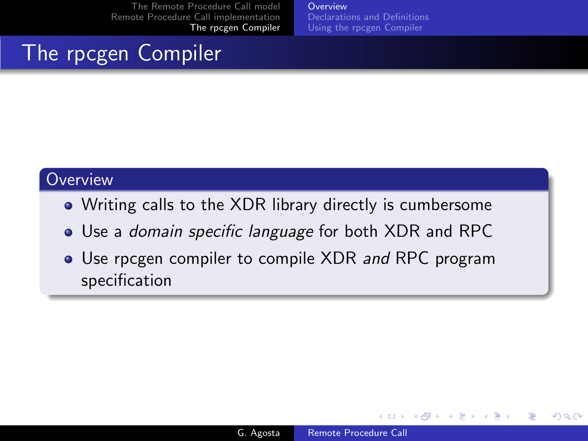**[Overview](#page-13-0)** [Declarations and Definitions](#page-14-0) [Using the rpcgen Compiler](#page-19-0)

# The rpcgen Compiler

#### **Overview**

- Writing calls to the XDR library directly is cumbersome
- Use a *domain specific language* for both XDR and RPC
- Use rpcgen compiler to compile XDR and RPC program specification

4日 8

<span id="page-13-0"></span> $\leftarrow$   $\leftarrow$   $\leftarrow$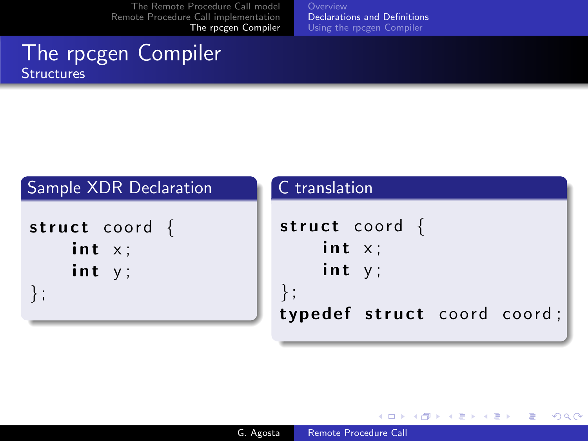[Declarations and Definitions](#page-14-0) [Using the rpcgen Compiler](#page-19-0)

### The rpcgen Compiler **Structures**

| Sample XDR Declaration                | C translation                            |
|---------------------------------------|------------------------------------------|
| struct coord $\{$<br>int x;<br>int y; | struct coord $\{$<br>int $x$ ;<br>int y; |
|                                       | typedef struct coord coord;              |

E

**In**  $\rightarrow$ 

**∢ロト ∢母 ト ∢ ヨ ト** 

<span id="page-14-0"></span>Þ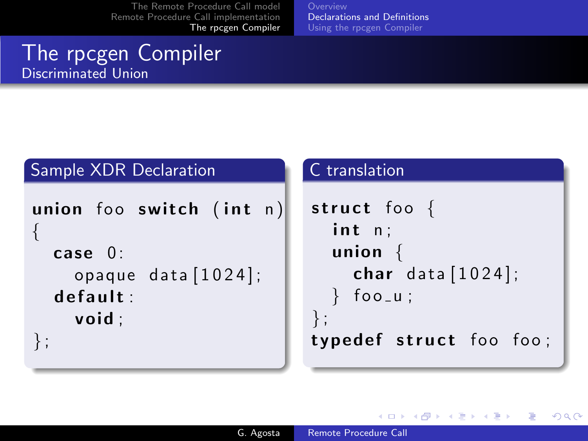[Declarations and Definitions](#page-14-0) [Using the rpcgen Compiler](#page-19-0)

## The rpcgen Compiler Discriminated Union

### Sample XDR Declaration

```
union foo switch (int n)
{
  case 0:
    opaque data [1024];
  default:void ;
} ;
```
#### C translation

```
struct foo \{int n;union {
    char data [1024];
   foo_u ;
\};
typedef struct foo foo;
```
イロメ イ母メ イヨメイ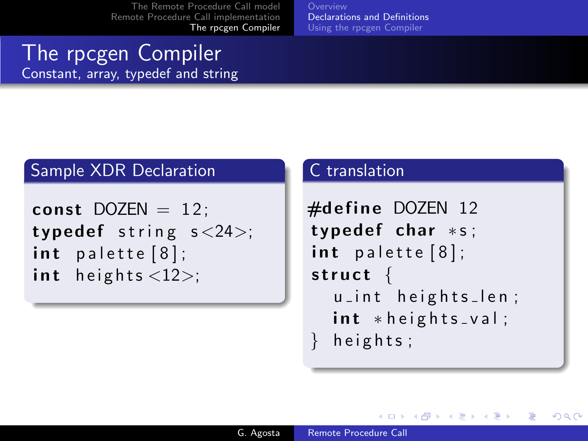[Declarations and Definitions](#page-14-0) [Using the rpcgen Compiler](#page-19-0)

### The rpcgen Compiler Constant, array, typedef and string

#### Sample XDR Declaration

```
const DOZEN = 12;
typedef string s < 24;
int palette [8];
int heights \langle 12 \rangle;
```
#### C translation

```
\#define DOZEN 12
typedef char * s;
int palette [8];
struct \{u_int heights_len;
  int * height s_v val;
  h e ights;
```
∢ ロ ≯ -∢ 何 ≯ -∢ ∃ ≯ -∢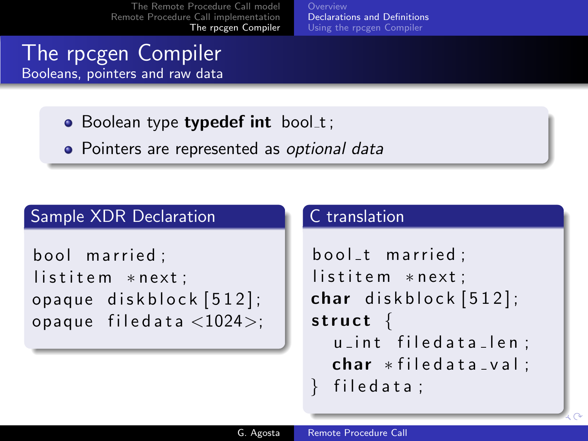[Declarations and Definitions](#page-14-0) [Using the rpcgen Compiler](#page-19-0)

### The rpcgen Compiler Booleans, pointers and raw data

- $\bullet$  Boolean type typedef int bool\_t;
- Pointers are represented as optional data

### Sample XDR Declaration

```
bool married:
listitem *next;
opaque diskblock [512];
opaque filedata <1024>;
```
#### C translation

```
bool_t married:
listitem *next:
char diskblock [512];
struct \{u int filedata len:
  char * file data_val:
  filedata ;
```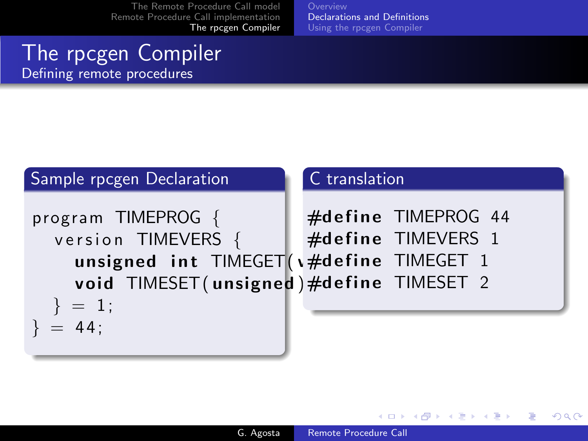[Declarations and Definitions](#page-14-0) [Using the rpcgen Compiler](#page-19-0)

### The rpcgen Compiler Defining remote procedures



イロメ イ母メ イヨメイ